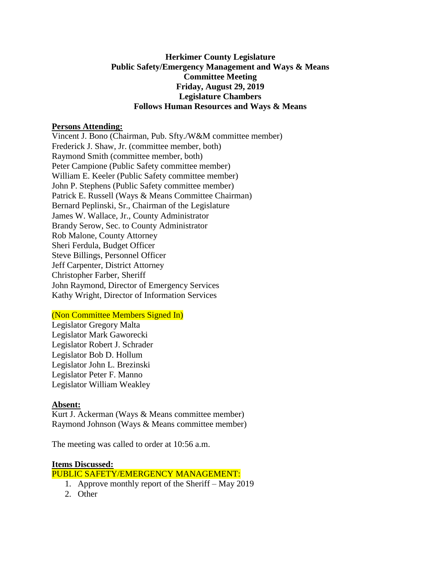# **Herkimer County Legislature Public Safety/Emergency Management and Ways & Means Committee Meeting Friday, August 29, 2019 Legislature Chambers Follows Human Resources and Ways & Means**

### **Persons Attending:**

Vincent J. Bono (Chairman, Pub. Sfty./W&M committee member) Frederick J. Shaw, Jr. (committee member, both) Raymond Smith (committee member, both) Peter Campione (Public Safety committee member) William E. Keeler (Public Safety committee member) John P. Stephens (Public Safety committee member) Patrick E. Russell (Ways & Means Committee Chairman) Bernard Peplinski, Sr., Chairman of the Legislature James W. Wallace, Jr., County Administrator Brandy Serow, Sec. to County Administrator Rob Malone, County Attorney Sheri Ferdula, Budget Officer Steve Billings, Personnel Officer Jeff Carpenter, District Attorney Christopher Farber, Sheriff John Raymond, Director of Emergency Services Kathy Wright, Director of Information Services

### (Non Committee Members Signed In)

Legislator Gregory Malta Legislator Mark Gaworecki Legislator Robert J. Schrader Legislator Bob D. Hollum Legislator John L. Brezinski Legislator Peter F. Manno Legislator William Weakley

### **Absent:**

Kurt J. Ackerman (Ways & Means committee member) Raymond Johnson (Ways & Means committee member)

The meeting was called to order at 10:56 a.m.

#### **Items Discussed:**

#### PUBLIC SAFETY/EMERGENCY MANAGEMENT:

- 1. Approve monthly report of the Sheriff May 2019
- 2. Other